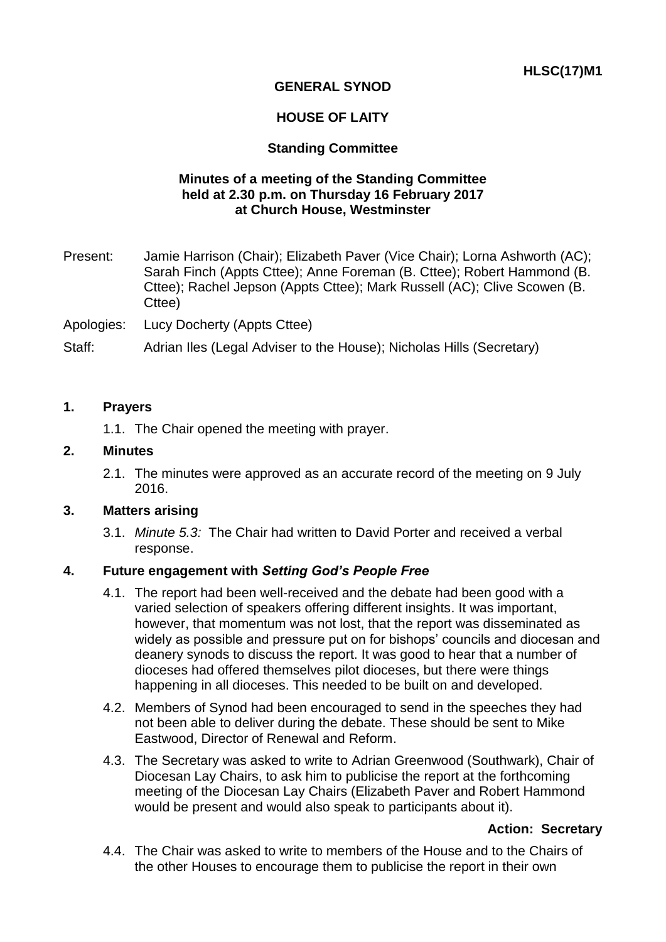# **GENERAL SYNOD**

## **HOUSE OF LAITY**

## **Standing Committee**

## **Minutes of a meeting of the Standing Committee held at 2.30 p.m. on Thursday 16 February 2017 at Church House, Westminster**

Present: Jamie Harrison (Chair); Elizabeth Paver (Vice Chair); Lorna Ashworth (AC); Sarah Finch (Appts Cttee); Anne Foreman (B. Cttee); Robert Hammond (B. Cttee); Rachel Jepson (Appts Cttee); Mark Russell (AC); Clive Scowen (B. Cttee)

Apologies: Lucy Docherty (Appts Cttee)

Staff: Adrian Iles (Legal Adviser to the House); Nicholas Hills (Secretary)

### **1. Prayers**

1.1. The Chair opened the meeting with prayer.

### **2. Minutes**

2.1. The minutes were approved as an accurate record of the meeting on 9 July 2016.

## **3. Matters arising**

3.1. *Minute 5.3:* The Chair had written to David Porter and received a verbal response.

## **4. Future engagement with** *Setting God's People Free*

- 4.1. The report had been well-received and the debate had been good with a varied selection of speakers offering different insights. It was important, however, that momentum was not lost, that the report was disseminated as widely as possible and pressure put on for bishops' councils and diocesan and deanery synods to discuss the report. It was good to hear that a number of dioceses had offered themselves pilot dioceses, but there were things happening in all dioceses. This needed to be built on and developed.
- 4.2. Members of Synod had been encouraged to send in the speeches they had not been able to deliver during the debate. These should be sent to Mike Eastwood, Director of Renewal and Reform.
- 4.3. The Secretary was asked to write to Adrian Greenwood (Southwark), Chair of Diocesan Lay Chairs, to ask him to publicise the report at the forthcoming meeting of the Diocesan Lay Chairs (Elizabeth Paver and Robert Hammond would be present and would also speak to participants about it).

#### **Action: Secretary**

4.4. The Chair was asked to write to members of the House and to the Chairs of the other Houses to encourage them to publicise the report in their own